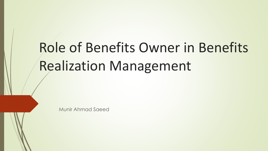# Role of Benefits Owner in Benefits Realization Management

Munir Ahmad Saeed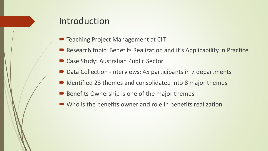#### Introduction

- Teaching Project Management at CIT
- Research topic: Benefits Realization and it's Applicability in Practice
- Case Study: Australian Public Sector
- Data Collection -Interviews: 45 participants in 7 departments
- Identified 23 themes and consolidated into 8 major themes
- Benefits Ownership is one of the major themes
- Who is the benefits owner and role in benefits realization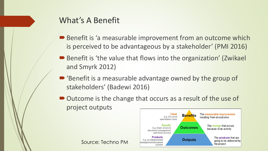#### What's A Benefit

Source: Techno PM

- Benefit is 'a measurable improvement from an outcome which is perceived to be advantageous by a stakeholder' (PMI 2016)
- Benefit is 'the value that flows into the organization' (Zwikael and Smyrk 2012)
- 'Benefit is a measurable advantage owned by the group of stakeholders' (Badewi 2016)
- Outcome is the change that occurs as a result of the use of project outputs

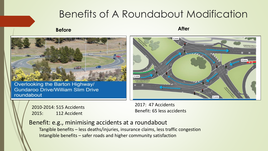# Benefits of A Roundabout Modification

#### **Before After**



Overlooking the Barton Highway/ **Gundaroo Drive/William Slim Drive** roundabout



2010-2014: 515 Accidents 2015: 112 Accident

2017: 47 Accidents Benefit: 65 less accidents

#### Benefit: e.g., minimising accidents at a roundabout

Tangible benefits – less deaths/injuries, insurance claims, less traffic congestion Intangible benefits – safer roads and higher community satisfaction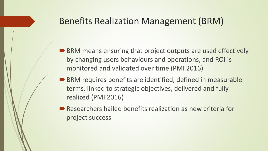#### Benefits Realization Management (BRM)

- BRM means ensuring that project outputs are used effectively by changing users behaviours and operations, and ROI is monitored and validated over time (PMI 2016)
- BRM requires benefits are identified, defined in measurable terms, linked to strategic objectives, delivered and fully realized (PMI 2016)
- Researchers hailed benefits realization as new criteria for project success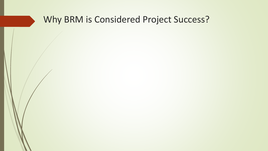# Why BRM is Considered Project Success?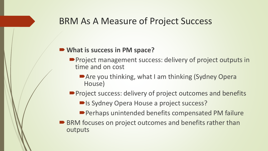#### BRM As A Measure of Project Success

#### **What is success in PM space?**

- Project management success: delivery of project outputs in time and on cost
	- Are you thinking, what I am thinking (Sydney Opera House)
- **Project success: delivery of project outcomes and benefits** 
	- ■Is Sydney Opera House a project success?
	- Perhaps unintended benefits compensated PM failure
- BRM focuses on project outcomes and benefits rather than outputs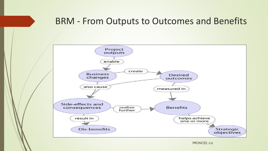#### BRM - From Outputs to Outcomes and Benefits

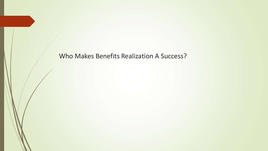Who Makes Benefits Realization A Success?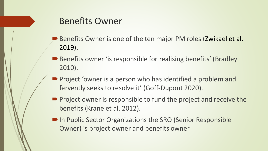#### Benefits Owner

- Benefits Owner is one of the ten major PM roles (Zwikael et al. 2019).
- Benefits owner 'is responsible for realising benefits' (Bradley 2010).
- **Project 'owner is a person who has identified a problem and** fervently seeks to resolve it' (Goff-Dupont 2020).
- Project owner is responsible to fund the project and receive the benefits (Krane et al. 2012).
- In Public Sector Organizations the SRO (Senior Responsible Owner) is project owner and benefits owner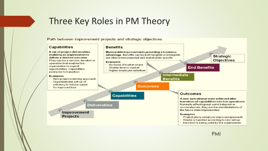#### Three Key Roles in PM Theory

Path between improvement projects and strategic objectives

#### Capabilities

A set of project deliverables enabling an organization to deliver a desired outcome They can be a service, function or operation that enables the organization to exploit opportunities. Capabilities exist prior to transition

#### Examples

- · New project planning approach
- Organizational set-up of
- a factory to reduce waste
- An improved tool

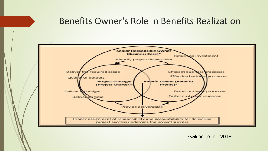#### Benefits Owner's Role in Benefits Realization



Zwikael et al. 2019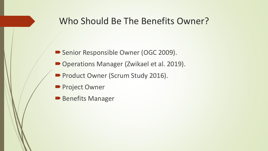#### Who Should Be The Benefits Owner?

- Senior Responsible Owner (OGC 2009).
- Operations Manager (Zwikael et al. 2019).
- Product Owner (Scrum Study 2016).
- **Project Owner**
- **Benefits Manager**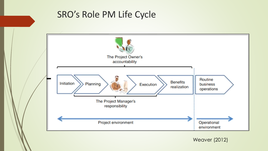#### SRO's Role PM Life Cycle



Weaver (2012)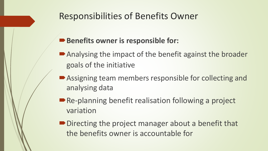### Responsibilities of Benefits Owner

#### **Benefits owner is responsible for:**

- Analysing the impact of the benefit against the broader goals of the initiative
- Assigning team members responsible for collecting and analysing data
- Re-planning benefit realisation following a project variation
- Directing the project manager about a benefit that the benefits owner is accountable for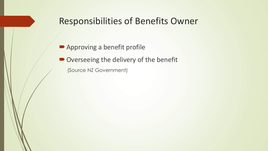#### Responsibilities of Benefits Owner

■ Approving a benefit profile

■ Overseeing the delivery of the benefit

(Source NZ Government)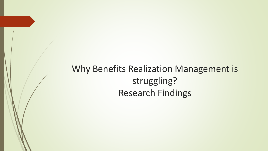Why Benefits Realization Management is struggling? Research Findings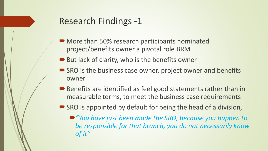- More than 50% research participants nominated project/benefits owner a pivotal role BRM
- $\blacktriangleright$  But lack of clarity, who is the benefits owner
- **SRO** is the business case owner, project owner and benefits owner
- Benefits are identified as feel good statements rather than in measurable terms, to meet the business case requirements
- SRO is appointed by default for being the head of a division,
	- "You have just been made the SRO, because you happen to *be responsible for that branch, you do not necessarily know of it"*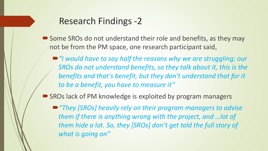- Some SROs do not understand their role and benefits, as they may not be from the PM space, one research participant said,
	- "*I would have to say half the reasons why we are struggling; our SROs do not understand benefits, so they talk about it, this is the benefits and that's benefit, but they don't understand that for it to be a benefit, you have to measure it"*
- SROs lack of PM knowledge is exploited by program managers
	- "They [SROs] heavily rely on their program managers to advise *them if there is anything wrong with the project, and …lot of them hide a lot. So, they [SROs] don't get told the full story of what is going on"*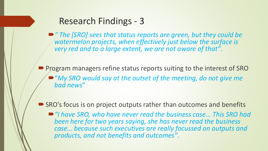■ "The [SRO] sees that status reports are green, but they could be *watermelon projects, when effectively just below the surface is very red and to a large extent, we are not aware of that"*.

**Program managers refine status reports suiting to the interest of SRO** "*My SRO would say at the outset of the meeting, do not give me bad news*"

■ SRO's focus is on project outputs rather than outcomes and benefits

■ "I have SRO, who have never read the business case... This SRO had *been here for two years saying, she has never read the business case… because such executives are really focussed on outputs and products, and not benefits and outcomes"*.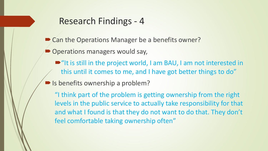- Can the Operations Manager be a benefits owner?
- Operations managers would say,
	- $\blacksquare$ "It is still in the project world, I am BAU, I am not interested in this until it comes to me, and I have got better things to do"
- Is benefits ownership a problem?

"I think part of the problem is getting ownership from the right levels in the public service to actually take responsibility for that and what I found is that they do not want to do that. They don't feel comfortable taking ownership often"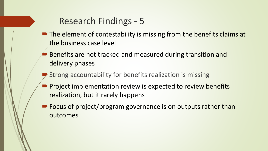- The element of contestability is missing from the benefits claims at the business case level
- Benefits are not tracked and measured during transition and delivery phases
- Strong accountability for benefits realization is missing
- Project implementation review is expected to review benefits realization, but it rarely happens
- Focus of project/program governance is on outputs rather than outcomes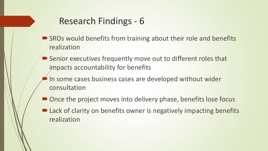- SROs would benefits from training about their role and benefits realization
- Senior executives frequently move out to different roles that impacts accountability for benefits
- In some cases business cases are developed without wider consultation
- Once the project moves into delivery phase, benefits lose focus
- Lack of clarity on benefits owner is negatively impacting benefits realization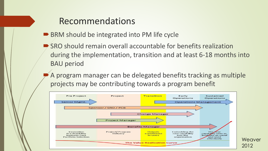#### Recommendations

- BRM should be integrated into PM life cycle
	- SRO should remain overall accountable for benefits realization during the implementation, transition and at least 6-18 months into BAU period
	- A program manager can be delegated benefits tracking as multiple projects may be contributing towards a program benefit

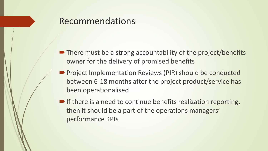#### Recommendations

- There must be a strong accountability of the project/benefits owner for the delivery of promised benefits
- Project Implementation Reviews (PIR) should be conducted between 6-18 months after the project product/service has been operationalised
- $\blacksquare$  If there is a need to continue benefits realization reporting, then it should be a part of the operations managers' performance KPIs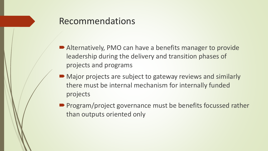#### Recommendations

- Alternatively, PMO can have a benefits manager to provide leadership during the delivery and transition phases of projects and programs
- Major projects are subject to gateway reviews and similarly there must be internal mechanism for internally funded projects
- Program/project governance must be benefits focussed rather than outputs oriented only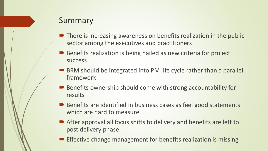#### Summary

- **■** There is increasing awareness on benefits realization in the public sector among the executives and practitioners
- Benefits realization is being hailed as new criteria for project success
- BRM should be integrated into PM life cycle rather than a parallel framework
- Benefits ownership should come with strong accountability for results
- Benefits are identified in business cases as feel good statements which are hard to measure
- After approval all focus shifts to delivery and benefits are left to post delivery phase
- $\blacktriangleright$  Effective change management for benefits realization is missing